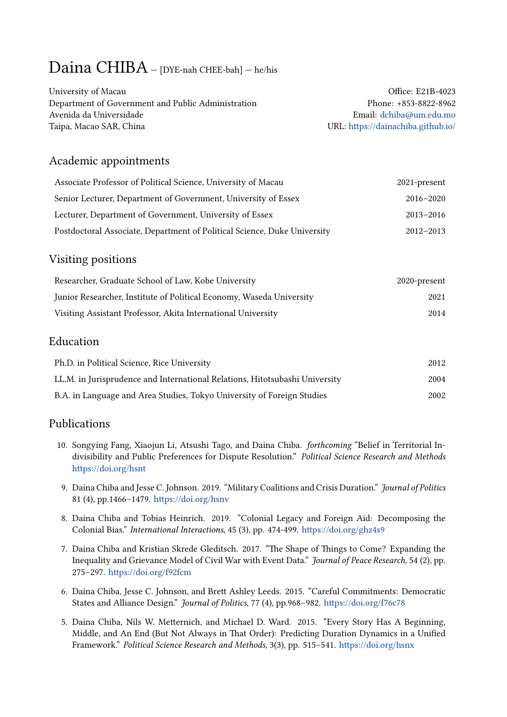# Daina CHIBA — [DYE-nah CHEE-bah] — he/his

| University of Macau                                | Office: E21B-4023                  |
|----------------------------------------------------|------------------------------------|
| Department of Government and Public Administration | Phone: +853-8822-8962              |
| Avenida da Universidade                            | Email: dchiba@um.edu.mo            |
| Taipa, Macao SAR, China                            | URL: https://dainachiba.github.io/ |

# Academic appointments

| Associate Professor of Political Science, University of Macau            | 2021-present  |
|--------------------------------------------------------------------------|---------------|
| Senior Lecturer, Department of Government, University of Essex           | $2016 - 2020$ |
| Lecturer, Department of Government, University of Essex                  | $2013 - 2016$ |
| Postdoctoral Associate, Department of Political Science, Duke University | $2012 - 2013$ |

# Visiting positions

| Researcher, Graduate School of Law, Kobe University                  | 2020-present |
|----------------------------------------------------------------------|--------------|
| Junior Researcher, Institute of Political Economy, Waseda University | 2021         |
| Visiting Assistant Professor, Akita International University         | 2014         |

# Education

| Ph.D. in Political Science, Rice University                                 | 2012 |
|-----------------------------------------------------------------------------|------|
| LL.M. in Jurisprudence and International Relations, Hitotsubashi University | 2004 |
| B.A. in Language and Area Studies, Tokyo University of Foreign Studies      | 2002 |

# Publications

- 10. Songying Fang, Xiaojun Li, Atsushi Tago, and Daina Chiba. *forthcoming* "Belief in Territorial Indivisibility and Public Preferences for Dispute Resolution." *Political Science Research and Methods* https://doi.org/hsnt
- 9. Daina Chiba and Jesse C. Johnson. 2019. "Military Coalitions and Crisis Duration." *Journal of Politics* 81 (4), pp.1466–1479. https://doi.org/hsnv
- 8. [Daina Chiba and T](https://doi.org/hsnt)obias Heinrich. 2019. "Colonial Legacy and Foreign Aid: Decomposing the Colonial Bias." *International Interactions*, 45 (3), pp. 474-499. https://doi.org/ghz4s9
- 7. Daina Chiba and Kri[stian Skrede Gleditsc](https://doi.org/hsnv)h. 2017. "The Shape of Things to Come? Expanding the Inequality and Grievance Model of Civil War with Event Data." *Journal of Peace Research*, 54 (2), pp. 275–297. https://doi.org/f92fcm
- 6. Daina Chiba, Jesse C. Johnson, and Brett Ashley Leeds. 2015. "Careful Commitments: Democratic States and Alliance Design." *Journal of Politics*, 77 (4), pp.968–982. https://doi.org/f76c78
- 5. Daina C[hiba, Nils W. Metternic](https://doi.org/f92fcm)h, and Michael D. Ward. 2015. "Every Story Has A Beginning, Middle, and An End (But Not Always in That Order): Predicting Duration Dynamics in a Unified Framework." *Political Science Research and Methods*, 3(3), pp. 515–541. [https://doi.org/hsn](https://doi.org/f76c78)x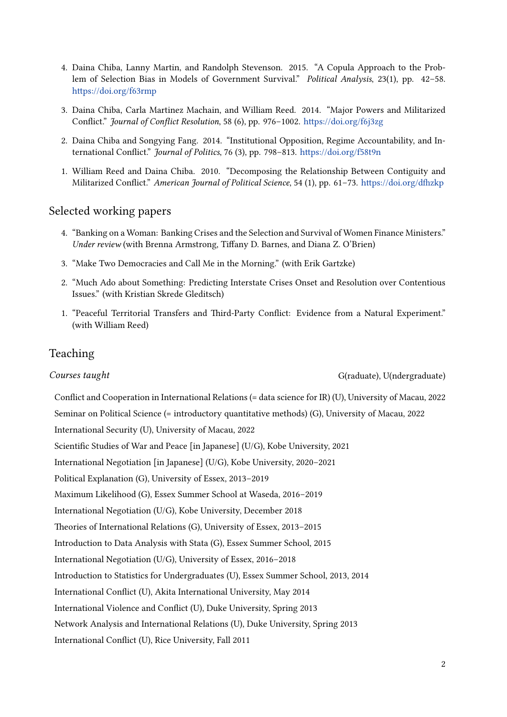- 4. Daina Chiba, Lanny Martin, and Randolph Stevenson. 2015. "A Copula Approach to the Problem of Selection Bias in Models of Government Survival." *Political Analysis*, 23(1), pp. 42–58. https://doi.org/f63rmp
- 3. Daina Chiba, Carla Martinez Machain, and William Reed. 2014. "Major Powers and Militarized Conflict." *Journal of Conflict Resolution*, 58 (6), pp. 976–1002. https://doi.org/f6j3zg
- 2. [Daina Chiba and Song](https://doi.org/f63rmp)ying Fang. 2014. "Institutional Opposition, Regime Accountability, and International Conflict." *Journal of Politics*, 76 (3), pp. 798–813. https://doi.org/f58t9n
- 1. William Reed and Daina Chiba. 2010. "Decomposing the [Relationship Between](https://doi.org/f6j3zg) Contiguity and Militarized Conflict." *American Journal of Political Science*, 54 (1), pp. 61–73. https://doi.org/dfhzkp

#### Selected working papers

- 4. "Banking on a Woman: Banking Crises and the Selection and Survival of Wo[men Finance Ministers."](https://doi.org/dfhzkp) *Under review* (with Brenna Armstrong, Tiffany D. Barnes, and Diana Z. O'Brien)
- 3. "Make Two Democracies and Call Me in the Morning." (with Erik Gartzke)
- 2. "Much Ado about Something: Predicting Interstate Crises Onset and Resolution over Contentious Issues." (with Kristian Skrede Gleditsch)
- 1. "Peaceful Territorial Transfers and Third-Party Conflict: Evidence from a Natural Experiment." (with William Reed)

#### Teaching

**Courses taught** G(raduate), U(ndergraduate), G(raduate), G(raduate), G(raduate), G(raduate), G(raduate), G(raduate), G(raduate), G(raduate), G(raduate), G(raduate), G(raduate), G(raduate), G(raduate), G(raduate), G(raduat

Conflict and Cooperation in International Relations (= data science for IR) (U), University of Macau, 2022

Seminar on Political Science (= introductory quantitative methods) (G), University of Macau, 2022

International Security (U), University of Macau, 2022

Scientific Studies of War and Peace [in Japanese] (U/G), Kobe University, 2021

International Negotiation [in Japanese] (U/G), Kobe University, 2020–2021

Political Explanation (G), University of Essex, 2013–2019

Maximum Likelihood (G), Essex Summer School at Waseda, 2016–2019

International Negotiation (U/G), Kobe University, December 2018

Theories of International Relations (G), University of Essex, 2013–2015

Introduction to Data Analysis with Stata (G), Essex Summer School, 2015

International Negotiation (U/G), University of Essex, 2016–2018

Introduction to Statistics for Undergraduates (U), Essex Summer School, 2013, 2014

International Conflict (U), Akita International University, May 2014

International Violence and Conflict (U), Duke University, Spring 2013

Network Analysis and International Relations (U), Duke University, Spring 2013

International Conflict (U), Rice University, Fall 2011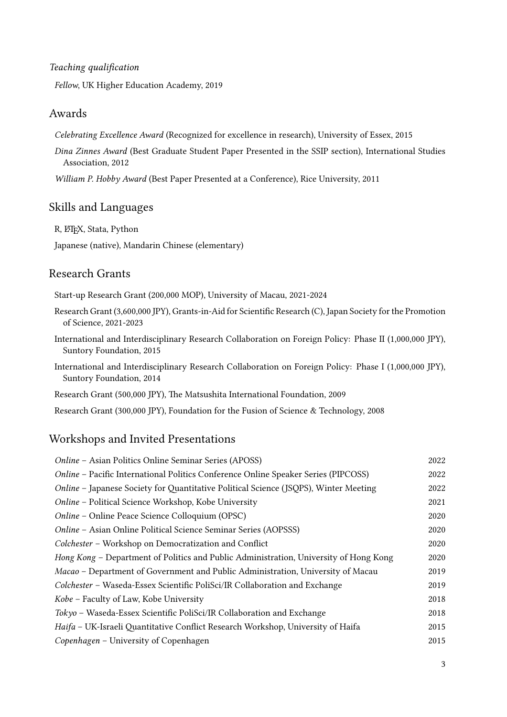#### *Teaching qualification*

*Fellow*, UK Higher Education Academy, 2019

#### Awards

*Celebrating Excellence Award* (Recognized for excellence in research), University of Essex, 2015

*Dina Zinnes Award* (Best Graduate Student Paper Presented in the SSIP section), International Studies Association, 2012

*William P. Hobby Award* (Best Paper Presented at a Conference), Rice University, 2011

### Skills and Languages

R, LATEX, Stata, Python

Japanese (native), Mandarin Chinese (elementary)

#### Research Grants

Start-up Research Grant (200,000 MOP), University of Macau, 2021-2024

- Research Grant (3,600,000 JPY), Grants-in-Aid for Scientific Research (C), Japan Society for the Promotion of Science, 2021-2023
- International and Interdisciplinary Research Collaboration on Foreign Policy: Phase II (1,000,000 JPY), Suntory Foundation, 2015
- International and Interdisciplinary Research Collaboration on Foreign Policy: Phase I (1,000,000 JPY), Suntory Foundation, 2014
- Research Grant (500,000 JPY), The Matsushita International Foundation, 2009

Research Grant (300,000 JPY), Foundation for the Fusion of Science & Technology, 2008

## Workshops and Invited Presentations

| Online - Asian Politics Online Seminar Series (APOSS)                                 | 2022 |
|---------------------------------------------------------------------------------------|------|
| Online – Pacific International Politics Conference Online Speaker Series (PIPCOSS)    | 2022 |
| Online - Japanese Society for Quantitative Political Science (JSQPS), Winter Meeting  | 2022 |
| Online - Political Science Workshop, Kobe University                                  | 2021 |
| Online – Online Peace Science Colloquium (OPSC)                                       | 2020 |
| Online – Asian Online Political Science Seminar Series (AOPSSS)                       | 2020 |
| Colchester - Workshop on Democratization and Conflict                                 | 2020 |
| Hong Kong – Department of Politics and Public Administration, University of Hong Kong | 2020 |
| Macao – Department of Government and Public Administration, University of Macau       | 2019 |
| Colchester – Waseda-Essex Scientific PoliSci/IR Collaboration and Exchange            | 2019 |
| Kobe - Faculty of Law, Kobe University                                                | 2018 |
| Tokyo – Waseda-Essex Scientific PoliSci/IR Collaboration and Exchange                 | 2018 |
| Haifa - UK-Israeli Quantitative Conflict Research Workshop, University of Haifa       | 2015 |
| Copenhagen – University of Copenhagen                                                 | 2015 |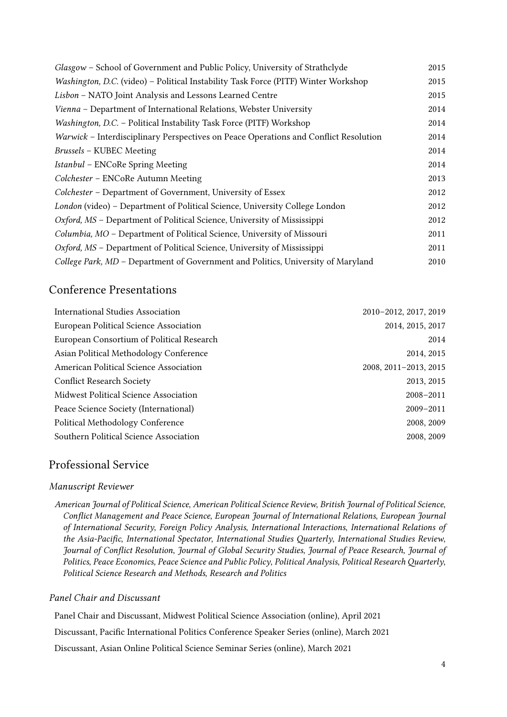| Glasgow - School of Government and Public Policy, University of Strathclyde          | 2015 |
|--------------------------------------------------------------------------------------|------|
| Washington, D.C. (video) – Political Instability Task Force (PITF) Winter Workshop   | 2015 |
| Lisbon - NATO Joint Analysis and Lessons Learned Centre                              | 2015 |
| Vienna – Department of International Relations, Webster University                   | 2014 |
| Washington, D.C. - Political Instability Task Force (PITF) Workshop                  | 2014 |
| Warwick - Interdisciplinary Perspectives on Peace Operations and Conflict Resolution | 2014 |
| <b>Brussels - KUBEC Meeting</b>                                                      | 2014 |
| Istanbul - ENCoRe Spring Meeting                                                     | 2014 |
| Colchester - ENCoRe Autumn Meeting                                                   | 2013 |
| Colchester - Department of Government, University of Essex                           | 2012 |
| London (video) - Department of Political Science, University College London          | 2012 |
| Oxford, MS – Department of Political Science, University of Mississippi              | 2012 |
| Columbia, MO - Department of Political Science, University of Missouri               | 2011 |
| Oxford, MS - Department of Political Science, University of Mississippi              | 2011 |
| College Park, MD - Department of Government and Politics, University of Maryland     | 2010 |

# Conference Presentations

| <b>International Studies Association</b>  | 2010-2012, 2017, 2019 |
|-------------------------------------------|-----------------------|
| European Political Science Association    | 2014, 2015, 2017      |
| European Consortium of Political Research | 2014                  |
| Asian Political Methodology Conference    | 2014, 2015            |
| American Political Science Association    | 2008, 2011-2013, 2015 |
| <b>Conflict Research Society</b>          | 2013, 2015            |
| Midwest Political Science Association     | $2008 - 2011$         |
| Peace Science Society (International)     | $2009 - 2011$         |
| <b>Political Methodology Conference</b>   | 2008, 2009            |
| Southern Political Science Association    | 2008, 2009            |

# Professional Service

#### *Manuscript Reviewer*

*American Journal of Political Science*, *American Political Science Review*, *British Journal of Political Science*, *Conflict Management and Peace Science*, *European Journal of International Relations*, *European Journal of International Security*, *Foreign Policy Analysis*, *International Interactions*, *International Relations of the Asia-Pacific*, *International Spectator*, *International Studies Quarterly*, *International Studies Review*, *Journal of Conflict Resolution*, *Journal of Global Security Studies*, *Journal of Peace Research*, *Journal of Politics*, *Peace Economics, Peace Science and Public Policy*, *Political Analysis*, *Political Research Quarterly*, *Political Science Research and Methods*, *Research and Politics*

#### *Panel Chair and Discussant*

Panel Chair and Discussant, Midwest Political Science Association (online), April 2021

Discussant, Pacific International Politics Conference Speaker Series (online), March 2021

Discussant, Asian Online Political Science Seminar Series (online), March 2021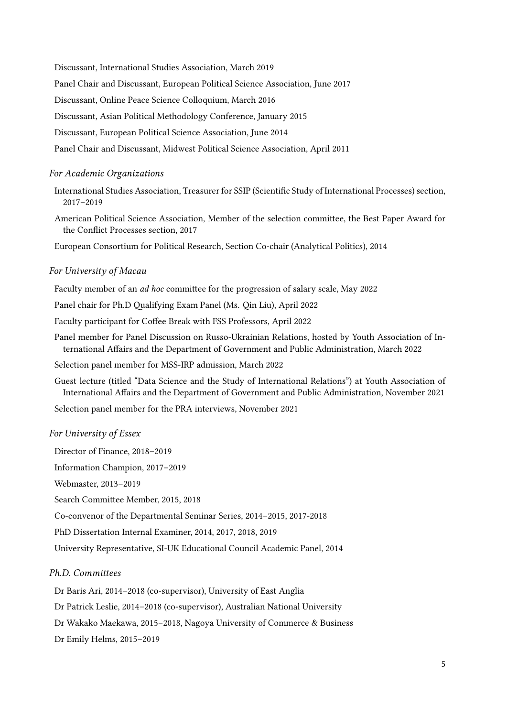Discussant, International Studies Association, March 2019

Panel Chair and Discussant, European Political Science Association, June 2017

Discussant, Online Peace Science Colloquium, March 2016

Discussant, Asian Political Methodology Conference, January 2015

Discussant, European Political Science Association, June 2014

Panel Chair and Discussant, Midwest Political Science Association, April 2011

#### *For Academic Organizations*

International Studies Association, Treasurer for SSIP (Scientific Study of International Processes) section, 2017–2019

American Political Science Association, Member of the selection committee, the Best Paper Award for the Conflict Processes section, 2017

European Consortium for Political Research, Section Co-chair (Analytical Politics), 2014

#### *For University of Macau*

Faculty member of an *ad hoc* committee for the progression of salary scale, May 2022

Panel chair for Ph.D Qualifying Exam Panel (Ms. Qin Liu), April 2022

Faculty participant for Coffee Break with FSS Professors, April 2022

Panel member for Panel Discussion on Russo-Ukrainian Relations, hosted by Youth Association of International Affairs and the Department of Government and Public Administration, March 2022

Selection panel member for MSS-IRP admission, March 2022

Guest lecture (titled "Data Science and the Study of International Relations") at Youth Association of International Affairs and the Department of Government and Public Administration, November 2021

Selection panel member for the PRA interviews, November 2021

#### *For University of Essex*

Director of Finance, 2018–2019

Information Champion, 2017–2019

Webmaster, 2013–2019

Search Committee Member, 2015, 2018

Co-convenor of the Departmental Seminar Series, 2014–2015, 2017-2018

PhD Dissertation Internal Examiner, 2014, 2017, 2018, 2019

University Representative, SI-UK Educational Council Academic Panel, 2014

#### *Ph.D. Committees*

Dr Baris Ari, 2014–2018 (co-supervisor), University of East Anglia

Dr Patrick Leslie, 2014–2018 (co-supervisor), Australian National University

Dr Wakako Maekawa, 2015–2018, Nagoya University of Commerce & Business

Dr Emily Helms, 2015–2019